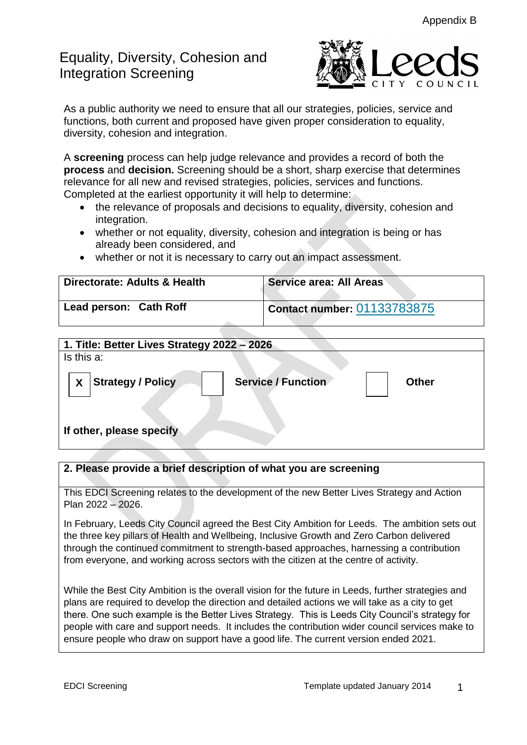# Equality, Diversity, Cohesion and Integration Screening



As a public authority we need to ensure that all our strategies, policies, service and functions, both current and proposed have given proper consideration to equality, diversity, cohesion and integration.

A **screening** process can help judge relevance and provides a record of both the **process** and **decision.** Screening should be a short, sharp exercise that determines relevance for all new and revised strategies, policies, services and functions. Completed at the earliest opportunity it will help to determine:

- the relevance of proposals and decisions to equality, diversity, cohesion and integration.
- whether or not equality, diversity, cohesion and integration is being or has already been considered, and
- whether or not it is necessary to carry out an impact assessment.

| Directorate: Adults & Health | <b>Service area: All Areas</b>     |
|------------------------------|------------------------------------|
| Lead person: Cath Roff       | <b>Contact number: 01133783875</b> |

| 1. Title: Better Lives Strategy 2022 - 2026                                |  |  |
|----------------------------------------------------------------------------|--|--|
| Is this a:                                                                 |  |  |
| <b>Service / Function</b><br><b>Strategy / Policy</b><br><b>Other</b><br>X |  |  |
| If other, please specify                                                   |  |  |
|                                                                            |  |  |

## **2. Please provide a brief description of what you are screening**

This EDCI Screening relates to the development of the new Better Lives Strategy and Action Plan 2022 – 2026.

In February, Leeds City Council agreed the Best City Ambition for Leeds. The ambition sets out the three key pillars of Health and Wellbeing, Inclusive Growth and Zero Carbon delivered through the continued commitment to strength-based approaches, harnessing a contribution from everyone, and working across sectors with the citizen at the centre of activity.

While the Best City Ambition is the overall vision for the future in Leeds, further strategies and plans are required to develop the direction and detailed actions we will take as a city to get there. One such example is the Better Lives Strategy. This is Leeds City Council's strategy for people with care and support needs. It includes the contribution wider council services make to ensure people who draw on support have a good life. The current version ended 2021.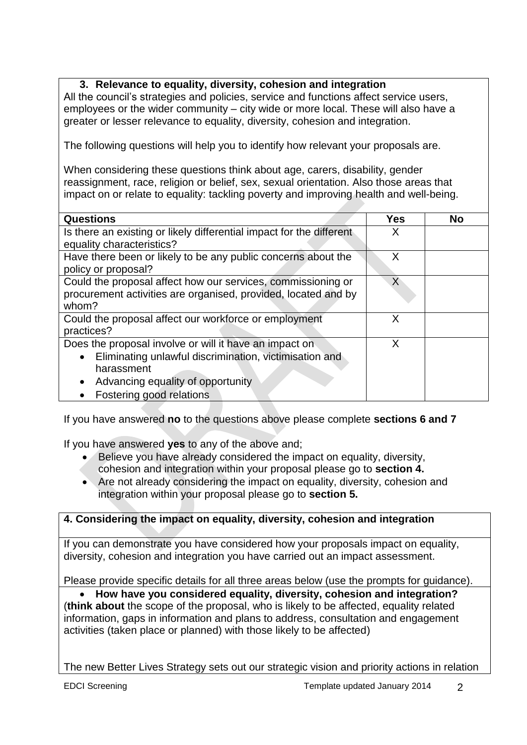## **3. Relevance to equality, diversity, cohesion and integration**

All the council's strategies and policies, service and functions affect service users, employees or the wider community – city wide or more local. These will also have a greater or lesser relevance to equality, diversity, cohesion and integration.

The following questions will help you to identify how relevant your proposals are.

When considering these questions think about age, carers, disability, gender reassignment, race, religion or belief, sex, sexual orientation. Also those areas that impact on or relate to equality: tackling poverty and improving health and well-being.

| <b>Questions</b>                                                     | Yes | <b>No</b> |
|----------------------------------------------------------------------|-----|-----------|
|                                                                      |     |           |
| Is there an existing or likely differential impact for the different | X   |           |
| equality characteristics?                                            |     |           |
| Have there been or likely to be any public concerns about the        | X   |           |
| policy or proposal?                                                  |     |           |
| Could the proposal affect how our services, commissioning or         | X   |           |
| procurement activities are organised, provided, located and by       |     |           |
|                                                                      |     |           |
| whom?                                                                |     |           |
| Could the proposal affect our workforce or employment                | X   |           |
| practices?                                                           |     |           |
| Does the proposal involve or will it have an impact on               | X   |           |
| Eliminating unlawful discrimination, victimisation and<br>$\bullet$  |     |           |
| harassment                                                           |     |           |
| Advancing equality of opportunity                                    |     |           |
| Fostering good relations                                             |     |           |

If you have answered **no** to the questions above please complete **sections 6 and 7**

If you have answered **yes** to any of the above and;

- Believe you have already considered the impact on equality, diversity, cohesion and integration within your proposal please go to **section 4.**
- Are not already considering the impact on equality, diversity, cohesion and integration within your proposal please go to **section 5.**

# **4. Considering the impact on equality, diversity, cohesion and integration**

If you can demonstrate you have considered how your proposals impact on equality, diversity, cohesion and integration you have carried out an impact assessment.

Please provide specific details for all three areas below (use the prompts for guidance).

 **How have you considered equality, diversity, cohesion and integration?** (**think about** the scope of the proposal, who is likely to be affected, equality related information, gaps in information and plans to address, consultation and engagement activities (taken place or planned) with those likely to be affected)

The new Better Lives Strategy sets out our strategic vision and priority actions in relation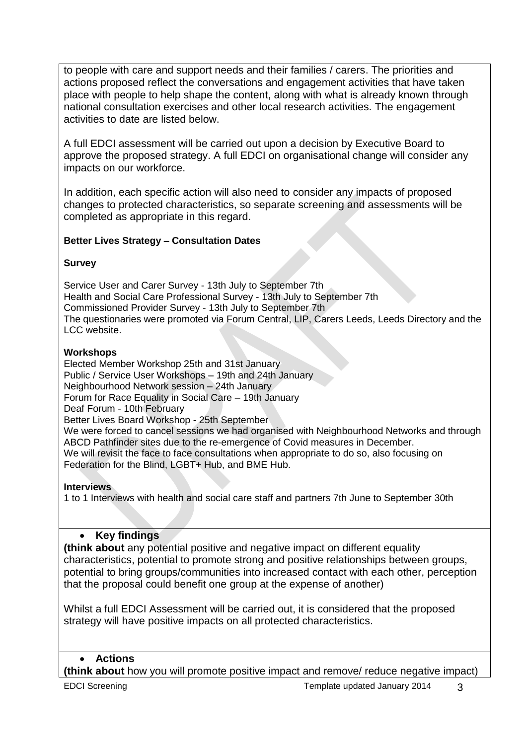to people with care and support needs and their families / carers. The priorities and actions proposed reflect the conversations and engagement activities that have taken place with people to help shape the content, along with what is already known through national consultation exercises and other local research activities. The engagement activities to date are listed below.

A full EDCI assessment will be carried out upon a decision by Executive Board to approve the proposed strategy. A full EDCI on organisational change will consider any impacts on our workforce.

In addition, each specific action will also need to consider any impacts of proposed changes to protected characteristics, so separate screening and assessments will be completed as appropriate in this regard.

#### **Better Lives Strategy – Consultation Dates**

#### **Survey**

Service User and Carer Survey - 13th July to September 7th Health and Social Care Professional Survey - 13th July to September 7th Commissioned Provider Survey - 13th July to September 7th The questionaries were promoted via Forum Central, LIP, Carers Leeds, Leeds Directory and the LCC website.

#### **Workshops**

Elected Member Workshop 25th and 31st January Public / Service User Workshops – 19th and 24th January Neighbourhood Network session – 24th January Forum for Race Equality in Social Care – 19th January Deaf Forum - 10th February Better Lives Board Workshop - 25th September We were forced to cancel sessions we had organised with Neighbourhood Networks and through ABCD Pathfinder sites due to the re-emergence of Covid measures in December. We will revisit the face to face consultations when appropriate to do so, also focusing on Federation for the Blind, LGBT+ Hub, and BME Hub.

#### **Interviews**

1 to 1 Interviews with health and social care staff and partners 7th June to September 30th

## **•** Key findings

**(think about** any potential positive and negative impact on different equality characteristics, potential to promote strong and positive relationships between groups, potential to bring groups/communities into increased contact with each other, perception that the proposal could benefit one group at the expense of another)

Whilst a full EDCI Assessment will be carried out, it is considered that the proposed strategy will have positive impacts on all protected characteristics.

## **Actions**

**(think about** how you will promote positive impact and remove/ reduce negative impact)